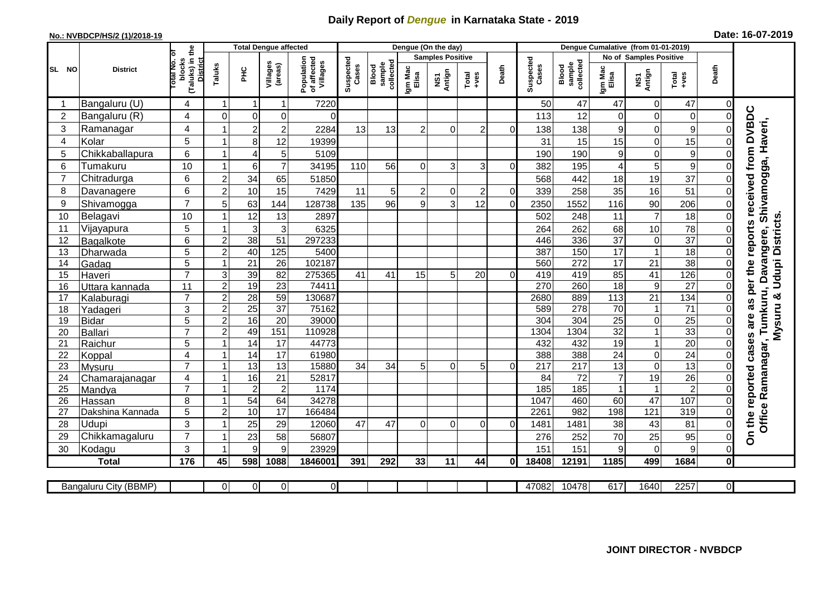## **Daily Report of** *Dengue* **in Karnataka State - 2019**

## **No.: NVBDCP/HS/2 (1)/2018-19 Date: 16-07-2019**

|                |                       |                                                    |                | <b>Total Dengue affected</b> |                     |                                       |                    |                              | Dengue (On the day) |                         |                |                |                    |                              |                  |                               |                  |                |                                                               |
|----------------|-----------------------|----------------------------------------------------|----------------|------------------------------|---------------------|---------------------------------------|--------------------|------------------------------|---------------------|-------------------------|----------------|----------------|--------------------|------------------------------|------------------|-------------------------------|------------------|----------------|---------------------------------------------------------------|
|                |                       | ō                                                  |                |                              |                     |                                       |                    |                              |                     | <b>Samples Positive</b> |                |                |                    |                              |                  | <b>No of Samples Positive</b> |                  |                |                                                               |
| SL NO          | <b>District</b>       | (Taluks) in the<br>District<br>lotal No.<br>blocks | Taluks         | нc                           | Villages<br>(areas) | Population<br>of affected<br>Villages | Suspected<br>Cases | sample<br>collected<br>Blood | Igm Mac<br>Elisa    | NS1<br>Antign           | $Totael$       | Death          | Suspected<br>Cases | collected<br>sample<br>Blood | Igm Mac<br>Elisa | NS1<br>Antign                 | Total<br>+ves    | Death          |                                                               |
|                | Bangaluru (U)         | 4                                                  | $\overline{1}$ | -1                           | 1                   | 7220                                  |                    |                              |                     |                         |                |                | 50                 | 47                           | 47               | $\Omega$                      | 47               | $\Omega$       |                                                               |
| $\overline{2}$ | Bangaluru (R)         | 4                                                  | $\Omega$       | 0                            | 0                   | 0                                     |                    |                              |                     |                         |                |                | 113                | 12                           | 0                | $\mathbf 0$                   | $\boldsymbol{0}$ | 0              |                                                               |
| 3              | Ramanagar             | 4                                                  |                | $\overline{2}$               | $\overline{c}$      | 2284                                  | 13                 | 13                           | $\overline{2}$      | $\Omega$                | $\overline{2}$ | $\Omega$       | 138                | 138                          | 9                | 0                             | $\boldsymbol{9}$ | 0              | reports received from DVBDC<br>Davangere, Shivamogga, Haveri, |
| $\overline{4}$ | Kolar                 | 5                                                  | 1              | 8                            | 12                  | 19399                                 |                    |                              |                     |                         |                |                | 31                 | 15                           | 15               | $\overline{0}$                | 15               | 0              |                                                               |
| 5              | Chikkaballapura       | 6                                                  |                | 4                            | 5                   | 5109                                  |                    |                              |                     |                         |                |                | 190                | 190                          | 9                | 0                             | $\boldsymbol{9}$ |                |                                                               |
| 6              | Tumakuru              | 10                                                 |                | 6                            | $\overline{7}$      | 34195                                 | 110                | 56                           | $\Omega$            | 3                       | 3              | $\Omega$       | 382                | 195                          | 4                | 5                             | $\boldsymbol{9}$ |                |                                                               |
| $\overline{7}$ | Chitradurga           | 6                                                  | $\overline{2}$ | 34                           | 65                  | 51850                                 |                    |                              |                     |                         |                |                | 568                | 442                          | 18               | 19                            | 37               |                |                                                               |
| 8              | Davanagere            | 6                                                  | $\mathbf 2$    | 10                           | 15                  | 7429                                  | 11                 | 5 <sup>1</sup>               | 2                   | $\Omega$                | $\overline{c}$ | $\overline{0}$ | 339                | 258                          | 35               | 16                            | 51               | 0              |                                                               |
| 9              | Shivamogga            | $\overline{7}$                                     | 5              | 63                           | 144                 | 128738                                | 135                | 96                           | 9                   | 3                       | 12             | $\Omega$       | 2350               | 1552                         | 116              | 90                            | 206              | 0              |                                                               |
| 10             | Belagavi              | 10                                                 |                | 12                           | 13                  | 2897                                  |                    |                              |                     |                         |                |                | 502                | 248                          | 11               | $\overline{7}$                | 18               | $\overline{0}$ |                                                               |
| 11             | Vijayapura            | 5                                                  |                | 3                            | 3                   | 6325                                  |                    |                              |                     |                         |                |                | 264                | 262                          | 68               | 10                            | 78               |                | Mysuru & Udupi Districts.                                     |
| 12             | Bagalkote             | 6                                                  | $\overline{2}$ | 38                           | $\overline{51}$     | 297233                                |                    |                              |                     |                         |                |                | 446                | 336                          | $\overline{37}$  | $\overline{0}$                | $\overline{37}$  | $\Omega$       |                                                               |
| 13             | Dharwada              | 5                                                  | $\overline{2}$ | 40                           | 125                 | 5400                                  |                    |                              |                     |                         |                |                | 387                | 150                          | 17               | $\overline{1}$                | 18               | 0              |                                                               |
| 14             | Gadag                 | $\overline{5}$                                     | $\overline{1}$ | $\overline{21}$              | $\overline{26}$     | 102187                                |                    |                              |                     |                         |                |                | 560                | 272                          | $\overline{17}$  | $\overline{21}$               | 38               | 0              |                                                               |
| 15             | Haveri                | $\overline{7}$                                     | 3              | 39                           | 82                  | 275365                                | 41                 | 41                           | 15                  | 5                       | 20             | $\Omega$       | 419                | 419                          | 85               | $\overline{41}$               | 126              | 0              |                                                               |
| 16             | Uttara kannada        | 11                                                 | $\overline{2}$ | 19                           | 23                  | 74411                                 |                    |                              |                     |                         |                |                | 270                | 260                          | $\overline{18}$  | 9                             | $\overline{27}$  | 0              | as per the                                                    |
| 17             | Kalaburagi            | $\overline{7}$                                     | $\overline{2}$ | $\overline{28}$              | 59                  | 130687                                |                    |                              |                     |                         |                |                | 2680               | 889                          | 113              | $\overline{21}$               | 134              | 0              |                                                               |
| 18             | Yadageri              | 3                                                  | $\overline{2}$ | 25                           | 37                  | 75162                                 |                    |                              |                     |                         |                |                | 589                | 278                          | 70               | $\mathbf{1}$                  | $\overline{71}$  | $\overline{0}$ |                                                               |
| 19             | <b>Bidar</b>          | $\overline{5}$                                     | $\overline{2}$ | 16                           | $\overline{20}$     | 39000                                 |                    |                              |                     |                         |                |                | 304                | 304                          | $\overline{25}$  | O                             | $\overline{25}$  | 0              | are                                                           |
| 20             | <b>Ballari</b>        | $\overline{7}$                                     | $\overline{c}$ | 49                           | 151                 | 110928                                |                    |                              |                     |                         |                |                | 1304               | 1304                         | $\overline{32}$  | $\mathbf{1}$                  | 33               | 0              |                                                               |
| 21             | Raichur               | 5                                                  | $\overline{ }$ | $\overline{14}$              | $\overline{17}$     | 44773                                 |                    |                              |                     |                         |                |                | 432                | 432                          | 19               | $\mathbf{1}$                  | 20               | $\Omega$       |                                                               |
| 22             | Koppal                | $\overline{\mathbf{4}}$                            |                | 14                           | $\overline{17}$     | 61980                                 |                    |                              |                     |                         |                |                | 388                | 388                          | $\overline{24}$  | $\overline{0}$                | 24               | $\overline{0}$ |                                                               |
| 23             | Mysuru                | $\overline{7}$                                     |                | 13                           | $\overline{13}$     | 15880                                 | 34                 | 34                           | 5 <sup>1</sup>      | $\Omega$                | 5              | $\Omega$       | 217                | $\overline{217}$             | $\overline{13}$  | $\mathbf 0$                   | 13               | $\overline{0}$ |                                                               |
| 24             | Chamarajanagar        | 4                                                  |                | 16                           | $\overline{21}$     | 52817                                 |                    |                              |                     |                         |                |                | $\overline{84}$    | $\overline{72}$              | $\overline{7}$   | $\overline{19}$               | $\overline{26}$  |                |                                                               |
| 25             | Mandya                | $\overline{7}$                                     | $\overline{1}$ | $\overline{2}$               | $\overline{c}$      | 1174                                  |                    |                              |                     |                         |                |                | 185                | 185                          | 1                | $\mathbf{1}$                  | $\overline{2}$   | 0              | Ramanagar, Tumkuru,                                           |
| 26             | Hassan                | 8                                                  | -1             | 54                           | 64                  | 34278                                 |                    |                              |                     |                         |                |                | 1047               | 460                          | 60               | $\overline{47}$               | 107              | $\overline{0}$ |                                                               |
| 27             | Dakshina Kannada      | 5                                                  | $\overline{2}$ | 10                           | 17                  | 166484                                |                    |                              |                     |                         |                |                | 2261               | 982                          | 198              | 121                           | 319              | 0              | Office                                                        |
| 28             | Udupi                 | 3                                                  |                | 25                           | 29                  | 12060                                 | 47                 | 47                           | $\Omega$            | $\Omega$                | $\Omega$       | $\Omega$       | 1481               | 1481                         | 38               | 43                            | 81               | 0              | On the reported cases                                         |
| 29             | Chikkamagaluru        | $\overline{7}$                                     |                | 23                           | 58                  | 56807                                 |                    |                              |                     |                         |                |                | 276                | 252                          | 70               | 25                            | 95               | 0              |                                                               |
| 30             | Kodagu                | 3                                                  |                | 9                            | 9                   | 23929                                 |                    |                              |                     |                         |                |                | 151                | 151                          | 9                | $\Omega$                      | 9                | $\Omega$       |                                                               |
|                | <b>Total</b>          | 176                                                | 45             | 598                          | 1088                | 1846001                               | 391                | 292                          | 33                  | 11                      | 44             | 0l             | 18408              | 12191                        | 1185             | 499                           | 1684             | 0              |                                                               |
|                | Bangaluru City (BBMP) |                                                    | $\Omega$       | $\overline{0}$               | 0                   | $\overline{0}$                        |                    |                              |                     |                         |                |                | 47082              | 10478                        | 617              | 1640                          | 2257             | 0I             |                                                               |